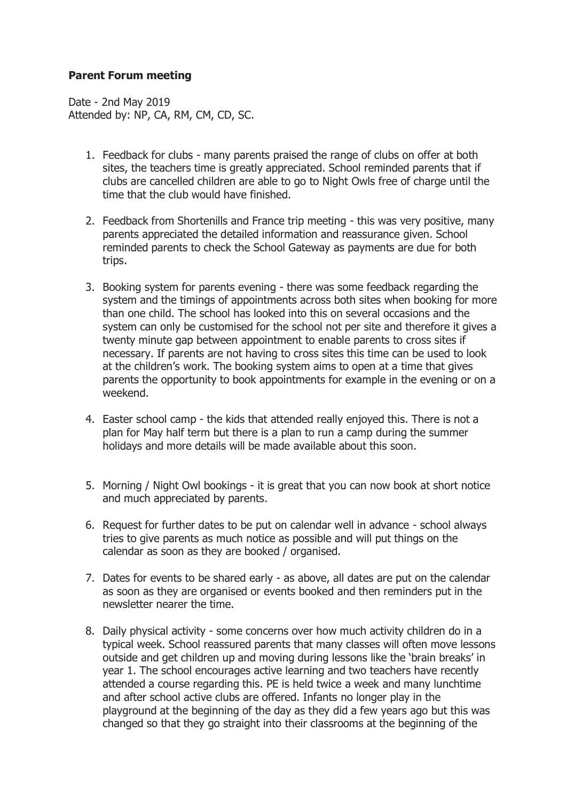## **Parent Forum meeting**

Date - 2nd May 2019 Attended by: NP, CA, RM, CM, CD, SC.

- 1. Feedback for clubs many parents praised the range of clubs on offer at both sites, the teachers time is greatly appreciated. School reminded parents that if clubs are cancelled children are able to go to Night Owls free of charge until the time that the club would have finished.
- 2. Feedback from Shortenills and France trip meeting this was very positive, many parents appreciated the detailed information and reassurance given. School reminded parents to check the School Gateway as payments are due for both trips.
- 3. Booking system for parents evening there was some feedback regarding the system and the timings of appointments across both sites when booking for more than one child. The school has looked into this on several occasions and the system can only be customised for the school not per site and therefore it gives a twenty minute gap between appointment to enable parents to cross sites if necessary. If parents are not having to cross sites this time can be used to look at the children's work. The booking system aims to open at a time that gives parents the opportunity to book appointments for example in the evening or on a weekend.
- 4. Easter school camp the kids that attended really enjoyed this. There is not a plan for May half term but there is a plan to run a camp during the summer holidays and more details will be made available about this soon.
- 5. Morning / Night Owl bookings it is great that you can now book at short notice and much appreciated by parents.
- 6. Request for further dates to be put on calendar well in advance school always tries to give parents as much notice as possible and will put things on the calendar as soon as they are booked / organised.
- 7. Dates for events to be shared early as above, all dates are put on the calendar as soon as they are organised or events booked and then reminders put in the newsletter nearer the time.
- 8. Daily physical activity some concerns over how much activity children do in a typical week. School reassured parents that many classes will often move lessons outside and get children up and moving during lessons like the 'brain breaks' in year 1. The school encourages active learning and two teachers have recently attended a course regarding this. PE is held twice a week and many lunchtime and after school active clubs are offered. Infants no longer play in the playground at the beginning of the day as they did a few years ago but this was changed so that they go straight into their classrooms at the beginning of the